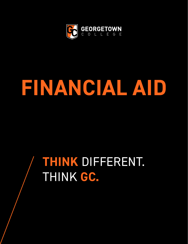

## **FINANCIAL AID**

## **THINK** DIFFERENT. THINK **GC.**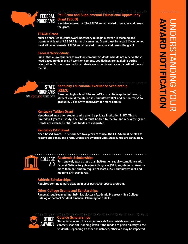

**Need-based awards. The FAFSA must be filed to receive and renew the grant.**

#### **TEACH Grant**

**Must be enrolled in coursework necessary to begin a career in teaching and maintain at least a 3.25 GPA for each semester. Grant must be repaid if you do not meet all requirements. FAFSA must be filed to receive and renew the grant.**

#### **Federal Work-Study**

**Funds that allow students to work on campus. Students who do not receive these need-based funds may still work on campus. Job listings are available during orientation. Earnings are paid to students each month and are not credited toward the bill.**

#### **Kentucky Educational Excellence Scholarship (KEES) STATE** PROGRAMS

FOR KENTUCKY RESIDENTS

**Based on high school GPA and ACT score. To keep the full award, students must maintain a 2.5 cumulative GPA and be "on-track" to graduate. Go to www.kheaa.com for more details.**

#### **Kentucky Tuition Grant**

**Need-based award for students who attend a private institution in KY. This is limited to 4 years of study. The FAFSA must be filed to receive and renew the grant. Grants are awarded until State funds are exhausted.**

#### **Kentucky CAP Grant**

**Need-based award. This is limited to 4 years of study. The FAFSA must be filed to receive and renew the grant. Grants are awarded until State funds are exhausted.** 



#### **Academic Scholarships**

**For renewal, awards less than half-tuition require compliance with Federal Satisfactory Academic Progress (SAP) regulations. Awards**  aid **more than half-tuition require at least a 2.75 cumulative GPA and meeting SAP standards.** 

#### **Athletic Scholarships**

**Requires continued participation in your particular sports program.** 

#### **Other College Grants and Scholarships**

**Renewal requires meeting SAP (Satisfactory Academic Progress). See College Catalog or contact Student Financial Planning for details.**



#### **Outside Scholarshi**

**Students who anticipate other awards from outside sources must contact Financial Planning (even if the funds are given directly to the student). Depending on other assistance, other aid may be impacted.**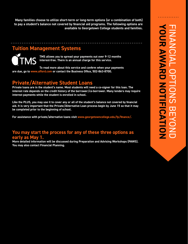**Many families choose to utilize short-term or long-term options (or a combination of both) to pay a student's balance not covered by financial aid programs. The following options are available to Georgetown College students and families.** 

#### **Tuition Management Systems**

**IMS** 

**TMS allows you to spread your payments out over 9-12 months interest-free. There is an annual charge for this service.**

**To read more about this service and confirm when your payments are due, go to www.afford.com or contact the Business Office, 502-863-8700.** 

#### **Private/Alternative Student Loans**

**Private loans are in the student's name. Most students will need a co-signer for this loan. The interest rate depends on the credit history of the borrower/co-borrower. Many lenders may require interest payments while the student is enrolled in school.** 

**Like the PLUS, you may use it to cover any or all of the student's balance not covered by financial aid. It is very important that the Private/Alternative Loan process begin by June 15 so that it may be completed prior to the beginning of school.** 

**For assistance with private/alternative loans visit www.georgetowncollege.edu/fp/finance/.** 

#### **You may start the process for any of these three options as early as May 1.**

**More detailed information will be discussed during Preparation and Advising Workshops (PAWS). You may also contact Financial Planning.**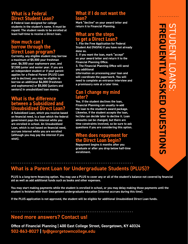#### **What is a Federal Direct Student Loan?**

**A Federal loan designed for college students in the student's name. It must be repaid. The student needs to be enrolled at least half-time to receive a Direct loan.**

#### **How much can I borrow through the Direct Loan program?**

**Currently, any eligible student may borrow a maximum of \$5,500 your freshman year, \$6,500 your sophomore year, and \$7,500 junior and senior year. If you are an independent student or if your parent applies for a Federal Parent (PLUS) Loan and is declined, you may be eligible to borrow an additional \$4,000 (freshmen and sophomores) or \$5,000 (juniors and seniors) in unsubsidized loan money.**

#### **What is the difference between a Subsidized and Unsubsidized Direct Loan?**

**A Subsidized Loan, which you receive based on financial need, is a loan which the federal government pays the interest while you are enrolled in school. An Unsubsidized Loan, which is not based on financial need, accrues interest while you are enrolled (although you may pay the interest if you wish).**

#### **What if I do not want the loan?**

**Mark "decline" on your award letter and return it to Financial Planning.**

#### **What are the steps to get a Direct Loan?**

**1. File the Free Application for Federal Student Aid (FASFA) if you have not already done so.**

**2. If you want the loan, mark "accept" on your award letter and return it to the Financial Planning Office.**

**3. The Financial Planning Office will send you additional** 

**information on processing your loan and will coordinate the paperwork. You will need to complete an entrance interview and a promissory note at a later time.**

#### **Can I change my mind later?**

**Yes. If the student declines the loan, Financial Planning can usually re-add the loan to the student's award package. Likewise, if the student accepts the loan, he/she can decide later to decline it. Loan amounts can be changed, but there are time constraints involved, so be sure to ask questions if you are considering this option.**

#### **When does repayment for the Direct Loan begin?**

**Repayment begins 6 months after you graduate or after you drop below half-time enrollment.**

#### **What is a Parent Loan for Undergraduate Students (PLUS)?**

**PLUS is a long-term financing option. You may use a PLUS to cover any or all of the student's balance not covered by financial aid as well as add additional funds such as books and other expenses.** 

**You may start making payments while the student is enrolled in school, or you may delay making those payments until the student is finished with their Georgetown undergraduate education (interest accrues during this time).** 

**If the PLUS application is not approved, the student will be eligible for additional Unsubsidized Direct Loan funds.**

#### **Need more answers? Contact us!**

**Office of Financial Planning | 400 East College Street, Georgetown, KY 40324 502-863-8027 | fp@georgetowncollege.edu**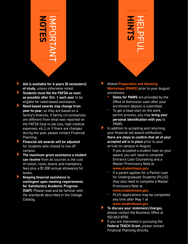# **NOTES** IMPORTANT

- } **Aid is available for 4 years (8 semesters) of study**, unless otherwise noted.
- } **Students must file the FAFSA as soon as possible after Oct. 1 each year** to be eligible for need-based assistance.
- } **Need-based awards may change from year-to-year**, as they are based on a family's finances. If family circumstances are different from what was reported on the FAFSA (due to job loss, high medical expenses, etc.), or if there are changes during the year, please contact Financial Planning.
- } **Financial aid awards will be adjusted** for students who choose to live off campus.
- } **The maximum grant assistance a student can receive** from all sources is the cost of tuition, room, board, and mandatory fees plus a \$1,000 annual allowance for books.
- } **Keeping financial assistance is contingent upon meeting requirements for Satisfactory Academic Progress (SAP)**. Please read and be familiar with the standards described in the College Catalog.



- } Attend **Preparation and Advising Workshops (PAWS)** prior to your August enrollment.
	- **• Dates for PAWS** are provided by the Office of Admission soon after your enrollment deposit is submitted.
	- To get a head start on the work permit process, you may **bring your personal identification with you** to PAWS.
- In addition to accepting and returning your financial aid award notification, **there are steps to confirm that all of your accepted aid is in place** prior to your arrival on campus in August.
	- If you accepted a student loan on your award, you will need to complete Entrance Loan Counseling and a Master Promissory Note at

#### **www.studentloans.gov**.

If a parent applies for a Parent Loan for Undergraduate Students (PLUS), they also need to complete a Master Promissory Note at

#### **www.studentloans.gov**.

- PLUS Applications may be completed any time after May 1 at **www.studentloans.gov**
- } **To discuss your statement/charges**, please contact the Business Office at 502-863-8700.
- If you are interested in pursuing the **Federal TEACH Grant**, please contact Financial Planning directly.